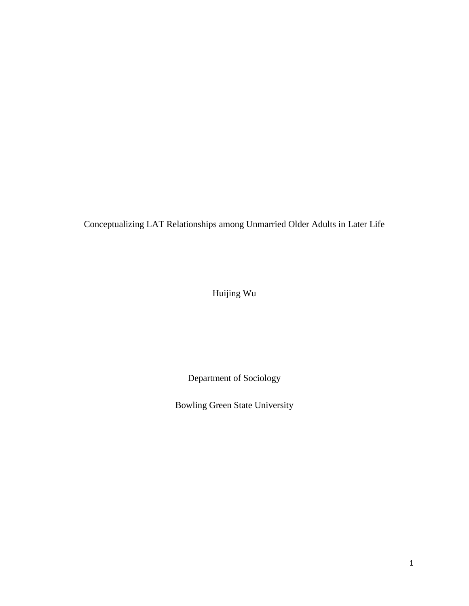Conceptualizing LAT Relationships among Unmarried Older Adults in Later Life

Huijing Wu

Department of Sociology

Bowling Green State University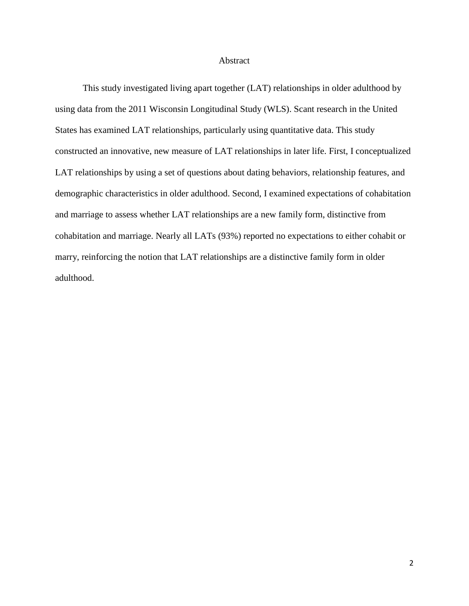#### Abstract

This study investigated living apart together (LAT) relationships in older adulthood by using data from the 2011 Wisconsin Longitudinal Study (WLS). Scant research in the United States has examined LAT relationships, particularly using quantitative data. This study constructed an innovative, new measure of LAT relationships in later life. First, I conceptualized LAT relationships by using a set of questions about dating behaviors, relationship features, and demographic characteristics in older adulthood. Second, I examined expectations of cohabitation and marriage to assess whether LAT relationships are a new family form, distinctive from cohabitation and marriage. Nearly all LATs (93%) reported no expectations to either cohabit or marry, reinforcing the notion that LAT relationships are a distinctive family form in older adulthood.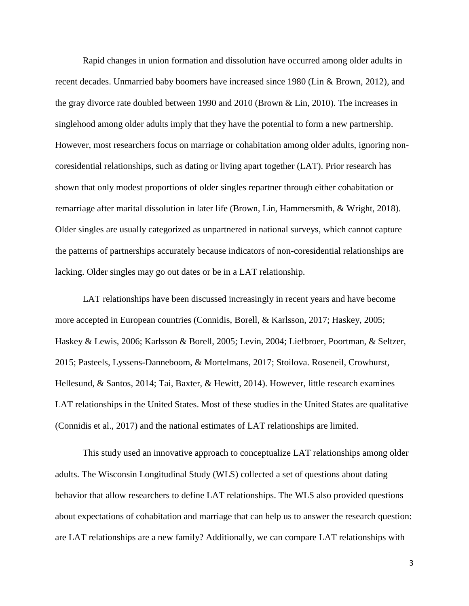Rapid changes in union formation and dissolution have occurred among older adults in recent decades. Unmarried baby boomers have increased since 1980 (Lin & Brown, 2012), and the gray divorce rate doubled between 1990 and 2010 (Brown & Lin, 2010). The increases in singlehood among older adults imply that they have the potential to form a new partnership. However, most researchers focus on marriage or cohabitation among older adults, ignoring noncoresidential relationships, such as dating or living apart together (LAT). Prior research has shown that only modest proportions of older singles repartner through either cohabitation or remarriage after marital dissolution in later life (Brown, Lin, Hammersmith, & Wright, 2018). Older singles are usually categorized as unpartnered in national surveys, which cannot capture the patterns of partnerships accurately because indicators of non-coresidential relationships are lacking. Older singles may go out dates or be in a LAT relationship.

LAT relationships have been discussed increasingly in recent years and have become more accepted in European countries (Connidis, Borell, & Karlsson, 2017; Haskey, 2005; Haskey & Lewis, 2006; Karlsson & Borell, 2005; Levin, 2004; Liefbroer, Poortman, & Seltzer, 2015; Pasteels, Lyssens-Danneboom, & Mortelmans, 2017; Stoilova. Roseneil, Crowhurst, Hellesund, & Santos, 2014; Tai, Baxter, & Hewitt, 2014). However, little research examines LAT relationships in the United States. Most of these studies in the United States are qualitative (Connidis et al., 2017) and the national estimates of LAT relationships are limited.

This study used an innovative approach to conceptualize LAT relationships among older adults. The Wisconsin Longitudinal Study (WLS) collected a set of questions about dating behavior that allow researchers to define LAT relationships. The WLS also provided questions about expectations of cohabitation and marriage that can help us to answer the research question: are LAT relationships are a new family? Additionally, we can compare LAT relationships with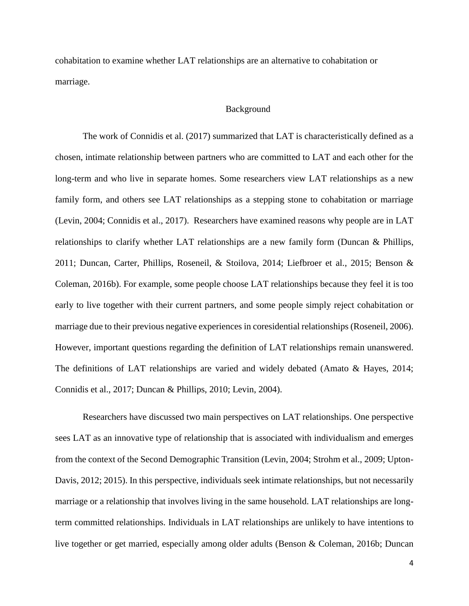cohabitation to examine whether LAT relationships are an alternative to cohabitation or marriage.

## Background

The work of Connidis et al. (2017) summarized that LAT is characteristically defined as a chosen, intimate relationship between partners who are committed to LAT and each other for the long-term and who live in separate homes. Some researchers view LAT relationships as a new family form, and others see LAT relationships as a stepping stone to cohabitation or marriage (Levin, 2004; Connidis et al., 2017). Researchers have examined reasons why people are in LAT relationships to clarify whether LAT relationships are a new family form (Duncan & Phillips, 2011; Duncan, Carter, Phillips, Roseneil, & Stoilova, 2014; Liefbroer et al., 2015; Benson & Coleman, 2016b). For example, some people choose LAT relationships because they feel it is too early to live together with their current partners, and some people simply reject cohabitation or marriage due to their previous negative experiences in coresidential relationships (Roseneil, 2006). However, important questions regarding the definition of LAT relationships remain unanswered. The definitions of LAT relationships are varied and widely debated (Amato & Hayes, 2014; Connidis et al., 2017; Duncan & Phillips, 2010; Levin, 2004).

Researchers have discussed two main perspectives on LAT relationships. One perspective sees LAT as an innovative type of relationship that is associated with individualism and emerges from the context of the Second Demographic Transition (Levin, 2004; Strohm et al., 2009; Upton-Davis, 2012; 2015). In this perspective, individuals seek intimate relationships, but not necessarily marriage or a relationship that involves living in the same household. LAT relationships are longterm committed relationships. Individuals in LAT relationships are unlikely to have intentions to live together or get married, especially among older adults (Benson & Coleman, 2016b; Duncan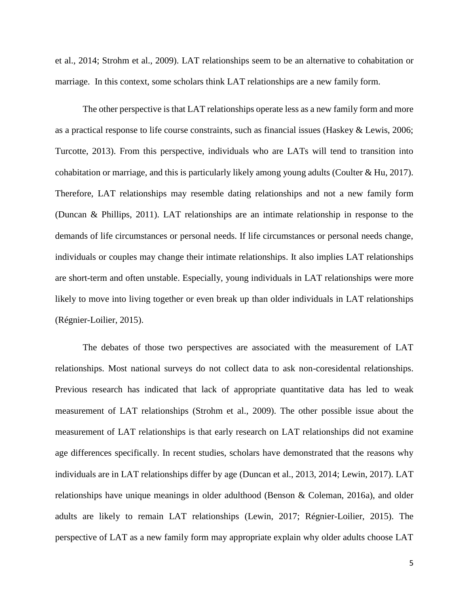et al., 2014; Strohm et al., 2009). LAT relationships seem to be an alternative to cohabitation or marriage. In this context, some scholars think LAT relationships are a new family form.

The other perspective is that LAT relationships operate less as a new family form and more as a practical response to life course constraints, such as financial issues (Haskey & Lewis, 2006; Turcotte, 2013). From this perspective, individuals who are LATs will tend to transition into cohabitation or marriage, and this is particularly likely among young adults (Coulter & Hu, 2017). Therefore, LAT relationships may resemble dating relationships and not a new family form (Duncan & Phillips, 2011). LAT relationships are an intimate relationship in response to the demands of life circumstances or personal needs. If life circumstances or personal needs change, individuals or couples may change their intimate relationships. It also implies LAT relationships are short-term and often unstable. Especially, young individuals in LAT relationships were more likely to move into living together or even break up than older individuals in LAT relationships (Régnier-Loilier, 2015).

The debates of those two perspectives are associated with the measurement of LAT relationships. Most national surveys do not collect data to ask non-coresidental relationships. Previous research has indicated that lack of appropriate quantitative data has led to weak measurement of LAT relationships (Strohm et al., 2009). The other possible issue about the measurement of LAT relationships is that early research on LAT relationships did not examine age differences specifically. In recent studies, scholars have demonstrated that the reasons why individuals are in LAT relationships differ by age (Duncan et al., 2013, 2014; Lewin, 2017). LAT relationships have unique meanings in older adulthood (Benson & Coleman, 2016a), and older adults are likely to remain LAT relationships (Lewin, 2017; Régnier-Loilier, 2015). The perspective of LAT as a new family form may appropriate explain why older adults choose LAT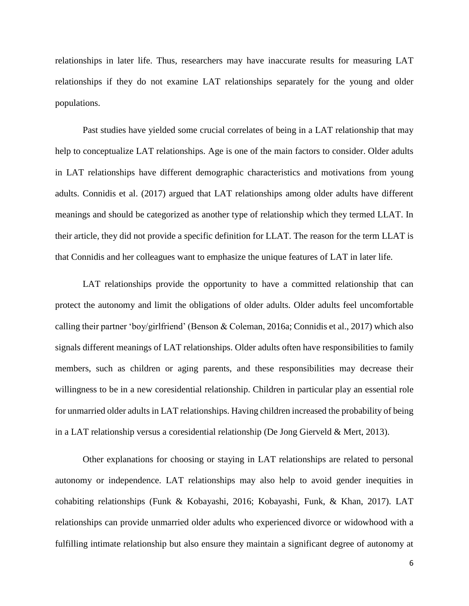relationships in later life. Thus, researchers may have inaccurate results for measuring LAT relationships if they do not examine LAT relationships separately for the young and older populations.

Past studies have yielded some crucial correlates of being in a LAT relationship that may help to conceptualize LAT relationships. Age is one of the main factors to consider. Older adults in LAT relationships have different demographic characteristics and motivations from young adults. Connidis et al. (2017) argued that LAT relationships among older adults have different meanings and should be categorized as another type of relationship which they termed LLAT. In their article, they did not provide a specific definition for LLAT. The reason for the term LLAT is that Connidis and her colleagues want to emphasize the unique features of LAT in later life.

LAT relationships provide the opportunity to have a committed relationship that can protect the autonomy and limit the obligations of older adults. Older adults feel uncomfortable calling their partner 'boy/girlfriend' (Benson & Coleman, 2016a; Connidis et al., 2017) which also signals different meanings of LAT relationships. Older adults often have responsibilities to family members, such as children or aging parents, and these responsibilities may decrease their willingness to be in a new coresidential relationship. Children in particular play an essential role for unmarried older adults in LAT relationships. Having children increased the probability of being in a LAT relationship versus a coresidential relationship (De Jong Gierveld & Mert, 2013).

Other explanations for choosing or staying in LAT relationships are related to personal autonomy or independence. LAT relationships may also help to avoid gender inequities in cohabiting relationships (Funk & Kobayashi, 2016; Kobayashi, Funk, & Khan, 2017). LAT relationships can provide unmarried older adults who experienced divorce or widowhood with a fulfilling intimate relationship but also ensure they maintain a significant degree of autonomy at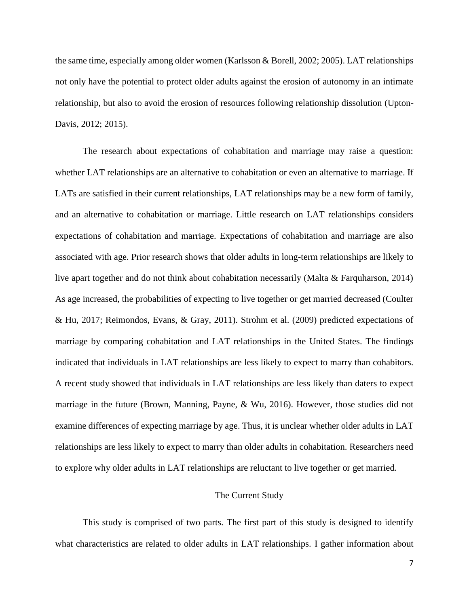the same time, especially among older women (Karlsson & Borell, 2002; 2005). LAT relationships not only have the potential to protect older adults against the erosion of autonomy in an intimate relationship, but also to avoid the erosion of resources following relationship dissolution (Upton-Davis, 2012; 2015).

The research about expectations of cohabitation and marriage may raise a question: whether LAT relationships are an alternative to cohabitation or even an alternative to marriage. If LATs are satisfied in their current relationships, LAT relationships may be a new form of family, and an alternative to cohabitation or marriage. Little research on LAT relationships considers expectations of cohabitation and marriage. Expectations of cohabitation and marriage are also associated with age. Prior research shows that older adults in long-term relationships are likely to live apart together and do not think about cohabitation necessarily (Malta & Farquharson, 2014) As age increased, the probabilities of expecting to live together or get married decreased (Coulter & Hu, 2017; Reimondos, Evans, & Gray, 2011). Strohm et al. (2009) predicted expectations of marriage by comparing cohabitation and LAT relationships in the United States. The findings indicated that individuals in LAT relationships are less likely to expect to marry than cohabitors. A recent study showed that individuals in LAT relationships are less likely than daters to expect marriage in the future (Brown, Manning, Payne, & Wu, 2016). However, those studies did not examine differences of expecting marriage by age. Thus, it is unclear whether older adults in LAT relationships are less likely to expect to marry than older adults in cohabitation. Researchers need to explore why older adults in LAT relationships are reluctant to live together or get married.

#### The Current Study

This study is comprised of two parts. The first part of this study is designed to identify what characteristics are related to older adults in LAT relationships. I gather information about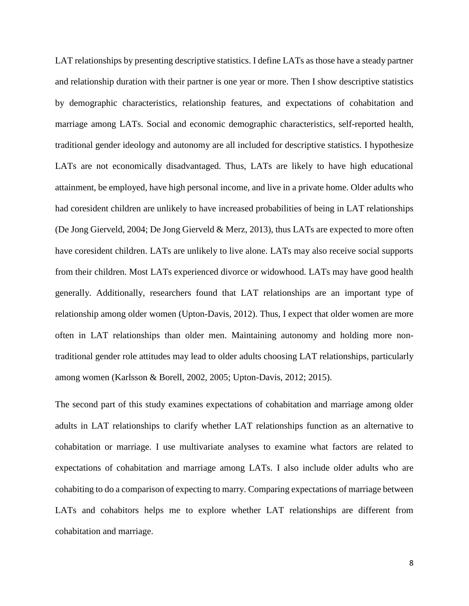LAT relationships by presenting descriptive statistics. I define LATs as those have a steady partner and relationship duration with their partner is one year or more. Then I show descriptive statistics by demographic characteristics, relationship features, and expectations of cohabitation and marriage among LATs. Social and economic demographic characteristics, self-reported health, traditional gender ideology and autonomy are all included for descriptive statistics. I hypothesize LATs are not economically disadvantaged. Thus, LATs are likely to have high educational attainment, be employed, have high personal income, and live in a private home. Older adults who had coresident children are unlikely to have increased probabilities of being in LAT relationships (De Jong Gierveld, 2004; De Jong Gierveld & Merz, 2013), thus LATs are expected to more often have coresident children. LATs are unlikely to live alone. LATs may also receive social supports from their children. Most LATs experienced divorce or widowhood. LATs may have good health generally. Additionally, researchers found that LAT relationships are an important type of relationship among older women (Upton-Davis, 2012). Thus, I expect that older women are more often in LAT relationships than older men. Maintaining autonomy and holding more nontraditional gender role attitudes may lead to older adults choosing LAT relationships, particularly among women (Karlsson & Borell, 2002, 2005; Upton-Davis, 2012; 2015).

The second part of this study examines expectations of cohabitation and marriage among older adults in LAT relationships to clarify whether LAT relationships function as an alternative to cohabitation or marriage. I use multivariate analyses to examine what factors are related to expectations of cohabitation and marriage among LATs. I also include older adults who are cohabiting to do a comparison of expecting to marry. Comparing expectations of marriage between LATs and cohabitors helps me to explore whether LAT relationships are different from cohabitation and marriage.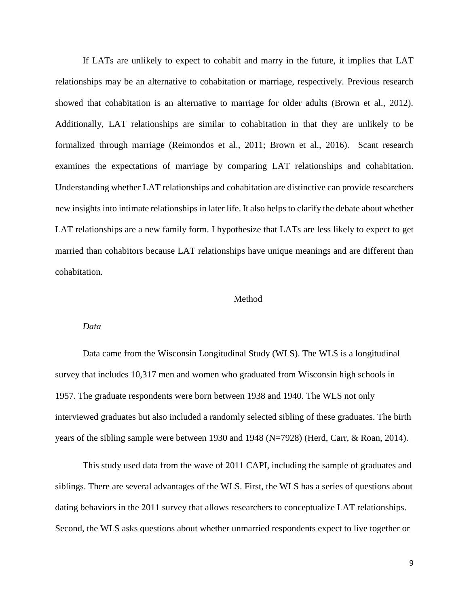If LATs are unlikely to expect to cohabit and marry in the future, it implies that LAT relationships may be an alternative to cohabitation or marriage, respectively. Previous research showed that cohabitation is an alternative to marriage for older adults (Brown et al., 2012). Additionally, LAT relationships are similar to cohabitation in that they are unlikely to be formalized through marriage (Reimondos et al., 2011; Brown et al., 2016). Scant research examines the expectations of marriage by comparing LAT relationships and cohabitation. Understanding whether LAT relationships and cohabitation are distinctive can provide researchers new insights into intimate relationships in later life. It also helps to clarify the debate about whether LAT relationships are a new family form. I hypothesize that LATs are less likely to expect to get married than cohabitors because LAT relationships have unique meanings and are different than cohabitation.

## Method

#### *Data*

Data came from the Wisconsin Longitudinal Study (WLS). The WLS is a longitudinal survey that includes 10,317 men and women who graduated from Wisconsin high schools in 1957. The graduate respondents were born between 1938 and 1940. The WLS not only interviewed graduates but also included a randomly selected sibling of these graduates. The birth years of the sibling sample were between 1930 and 1948 (N=7928) (Herd, Carr, & Roan, 2014).

This study used data from the wave of 2011 CAPI, including the sample of graduates and siblings. There are several advantages of the WLS. First, the WLS has a series of questions about dating behaviors in the 2011 survey that allows researchers to conceptualize LAT relationships. Second, the WLS asks questions about whether unmarried respondents expect to live together or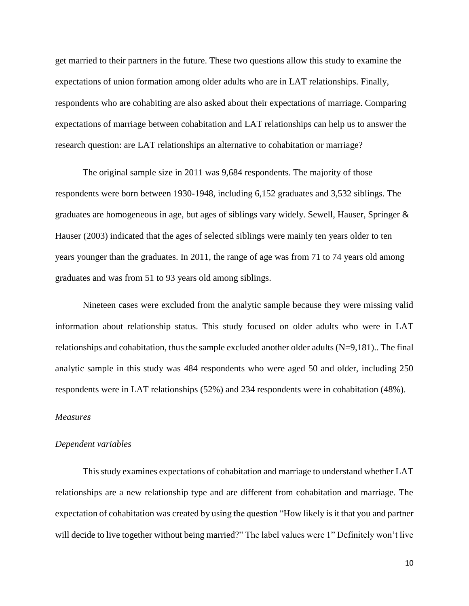get married to their partners in the future. These two questions allow this study to examine the expectations of union formation among older adults who are in LAT relationships. Finally, respondents who are cohabiting are also asked about their expectations of marriage. Comparing expectations of marriage between cohabitation and LAT relationships can help us to answer the research question: are LAT relationships an alternative to cohabitation or marriage?

The original sample size in 2011 was 9,684 respondents. The majority of those respondents were born between 1930-1948, including 6,152 graduates and 3,532 siblings. The graduates are homogeneous in age, but ages of siblings vary widely. Sewell, Hauser, Springer & Hauser (2003) indicated that the ages of selected siblings were mainly ten years older to ten years younger than the graduates. In 2011, the range of age was from 71 to 74 years old among graduates and was from 51 to 93 years old among siblings.

Nineteen cases were excluded from the analytic sample because they were missing valid information about relationship status. This study focused on older adults who were in LAT relationships and cohabitation, thus the sample excluded another older adults (N=9,181).. The final analytic sample in this study was 484 respondents who were aged 50 and older, including 250 respondents were in LAT relationships (52%) and 234 respondents were in cohabitation (48%).

#### *Measures*

#### *Dependent variables*

This study examines expectations of cohabitation and marriage to understand whether LAT relationships are a new relationship type and are different from cohabitation and marriage. The expectation of cohabitation was created by using the question "How likely is it that you and partner will decide to live together without being married?" The label values were 1" Definitely won't live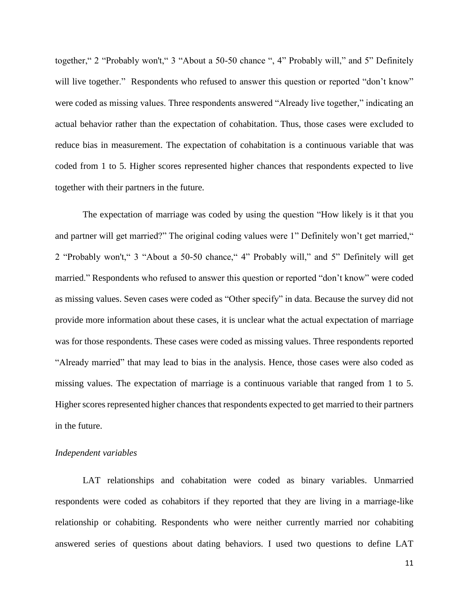together," 2 "Probably won't," 3 "About a 50-50 chance ", 4" Probably will," and 5" Definitely will live together." Respondents who refused to answer this question or reported "don't know" were coded as missing values. Three respondents answered "Already live together," indicating an actual behavior rather than the expectation of cohabitation. Thus, those cases were excluded to reduce bias in measurement. The expectation of cohabitation is a continuous variable that was coded from 1 to 5. Higher scores represented higher chances that respondents expected to live together with their partners in the future.

The expectation of marriage was coded by using the question "How likely is it that you and partner will get married?" The original coding values were 1" Definitely won't get married," 2 "Probably won't," 3 "About a 50-50 chance," 4" Probably will," and 5" Definitely will get married." Respondents who refused to answer this question or reported "don't know" were coded as missing values. Seven cases were coded as "Other specify" in data. Because the survey did not provide more information about these cases, it is unclear what the actual expectation of marriage was for those respondents. These cases were coded as missing values. Three respondents reported "Already married" that may lead to bias in the analysis. Hence, those cases were also coded as missing values. The expectation of marriage is a continuous variable that ranged from 1 to 5. Higher scores represented higher chances that respondents expected to get married to their partners in the future.

## *Independent variables*

LAT relationships and cohabitation were coded as binary variables. Unmarried respondents were coded as cohabitors if they reported that they are living in a marriage-like relationship or cohabiting. Respondents who were neither currently married nor cohabiting answered series of questions about dating behaviors. I used two questions to define LAT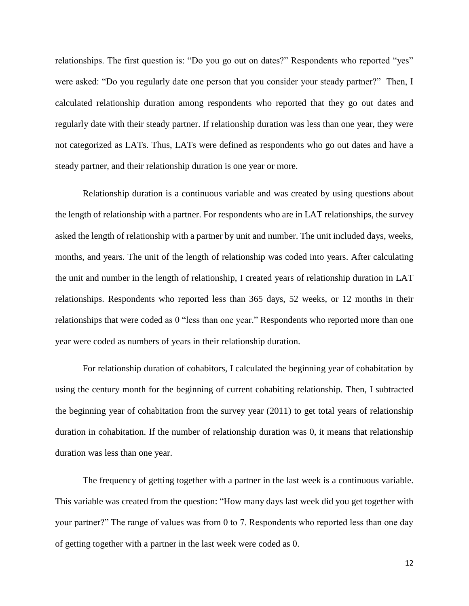relationships. The first question is: "Do you go out on dates?" Respondents who reported "yes" were asked: "Do you regularly date one person that you consider your steady partner?" Then, I calculated relationship duration among respondents who reported that they go out dates and regularly date with their steady partner. If relationship duration was less than one year, they were not categorized as LATs. Thus, LATs were defined as respondents who go out dates and have a steady partner, and their relationship duration is one year or more.

Relationship duration is a continuous variable and was created by using questions about the length of relationship with a partner. For respondents who are in LAT relationships, the survey asked the length of relationship with a partner by unit and number. The unit included days, weeks, months, and years. The unit of the length of relationship was coded into years. After calculating the unit and number in the length of relationship, I created years of relationship duration in LAT relationships. Respondents who reported less than 365 days, 52 weeks, or 12 months in their relationships that were coded as 0 "less than one year." Respondents who reported more than one year were coded as numbers of years in their relationship duration.

For relationship duration of cohabitors, I calculated the beginning year of cohabitation by using the century month for the beginning of current cohabiting relationship. Then, I subtracted the beginning year of cohabitation from the survey year (2011) to get total years of relationship duration in cohabitation. If the number of relationship duration was 0, it means that relationship duration was less than one year.

The frequency of getting together with a partner in the last week is a continuous variable. This variable was created from the question: "How many days last week did you get together with your partner?" The range of values was from 0 to 7. Respondents who reported less than one day of getting together with a partner in the last week were coded as 0.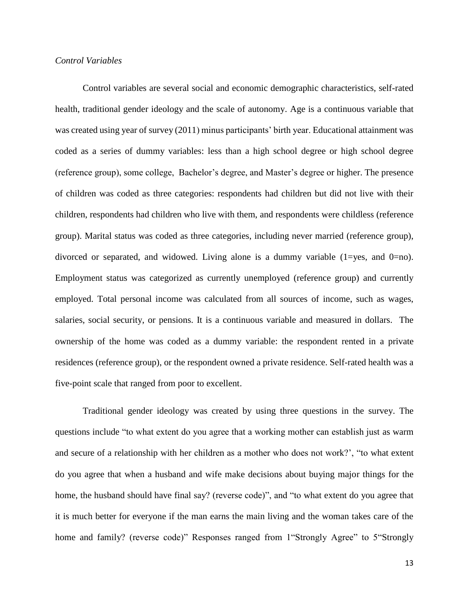## *Control Variables*

Control variables are several social and economic demographic characteristics, self-rated health, traditional gender ideology and the scale of autonomy. Age is a continuous variable that was created using year of survey (2011) minus participants' birth year. Educational attainment was coded as a series of dummy variables: less than a high school degree or high school degree (reference group), some college, Bachelor's degree, and Master's degree or higher. The presence of children was coded as three categories: respondents had children but did not live with their children, respondents had children who live with them, and respondents were childless (reference group). Marital status was coded as three categories, including never married (reference group), divorced or separated, and widowed. Living alone is a dummy variable (1=yes, and 0=no). Employment status was categorized as currently unemployed (reference group) and currently employed. Total personal income was calculated from all sources of income, such as wages, salaries, social security, or pensions. It is a continuous variable and measured in dollars. The ownership of the home was coded as a dummy variable: the respondent rented in a private residences (reference group), or the respondent owned a private residence. Self-rated health was a five-point scale that ranged from poor to excellent.

Traditional gender ideology was created by using three questions in the survey. The questions include "to what extent do you agree that a working mother can establish just as warm and secure of a relationship with her children as a mother who does not work?', "to what extent do you agree that when a husband and wife make decisions about buying major things for the home, the husband should have final say? (reverse code)", and "to what extent do you agree that it is much better for everyone if the man earns the main living and the woman takes care of the home and family? (reverse code)" Responses ranged from 1 "Strongly Agree" to 5 "Strongly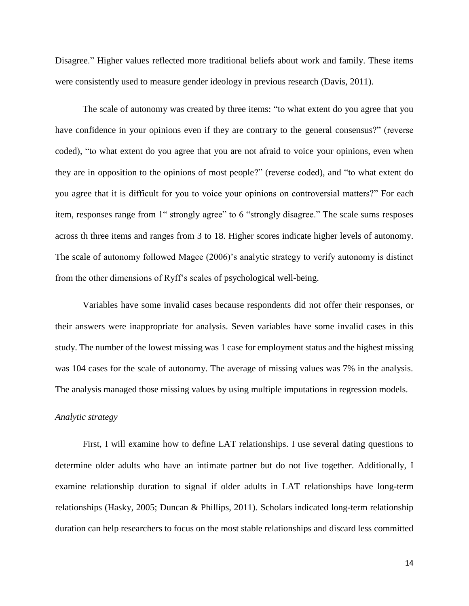Disagree." Higher values reflected more traditional beliefs about work and family. These items were consistently used to measure gender ideology in previous research (Davis, 2011).

The scale of autonomy was created by three items: "to what extent do you agree that you have confidence in your opinions even if they are contrary to the general consensus?" (reverse coded), "to what extent do you agree that you are not afraid to voice your opinions, even when they are in opposition to the opinions of most people?" (reverse coded), and "to what extent do you agree that it is difficult for you to voice your opinions on controversial matters?" For each item, responses range from 1" strongly agree" to 6 "strongly disagree." The scale sums resposes across th three items and ranges from 3 to 18. Higher scores indicate higher levels of autonomy. The scale of autonomy followed Magee (2006)'s analytic strategy to verify autonomy is distinct from the other dimensions of Ryff's scales of psychological well-being.

Variables have some invalid cases because respondents did not offer their responses, or their answers were inappropriate for analysis. Seven variables have some invalid cases in this study. The number of the lowest missing was 1 case for employment status and the highest missing was 104 cases for the scale of autonomy. The average of missing values was 7% in the analysis. The analysis managed those missing values by using multiple imputations in regression models.

## *Analytic strategy*

First, I will examine how to define LAT relationships. I use several dating questions to determine older adults who have an intimate partner but do not live together. Additionally, I examine relationship duration to signal if older adults in LAT relationships have long-term relationships (Hasky, 2005; Duncan & Phillips, 2011). Scholars indicated long-term relationship duration can help researchers to focus on the most stable relationships and discard less committed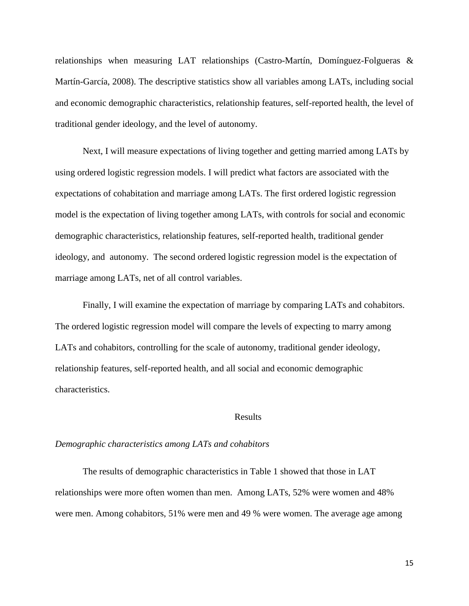relationships when measuring LAT relationships (Castro-Martín, Domínguez-Folgueras & Martín-García, 2008). The descriptive statistics show all variables among LATs, including social and economic demographic characteristics, relationship features, self-reported health, the level of traditional gender ideology, and the level of autonomy.

Next, I will measure expectations of living together and getting married among LATs by using ordered logistic regression models. I will predict what factors are associated with the expectations of cohabitation and marriage among LATs. The first ordered logistic regression model is the expectation of living together among LATs, with controls for social and economic demographic characteristics, relationship features, self-reported health, traditional gender ideology, and autonomy. The second ordered logistic regression model is the expectation of marriage among LATs, net of all control variables.

Finally, I will examine the expectation of marriage by comparing LATs and cohabitors. The ordered logistic regression model will compare the levels of expecting to marry among LATs and cohabitors, controlling for the scale of autonomy, traditional gender ideology, relationship features, self-reported health, and all social and economic demographic characteristics.

## Results

#### *Demographic characteristics among LATs and cohabitors*

The results of demographic characteristics in Table 1 showed that those in LAT relationships were more often women than men. Among LATs, 52% were women and 48% were men. Among cohabitors, 51% were men and 49 % were women. The average age among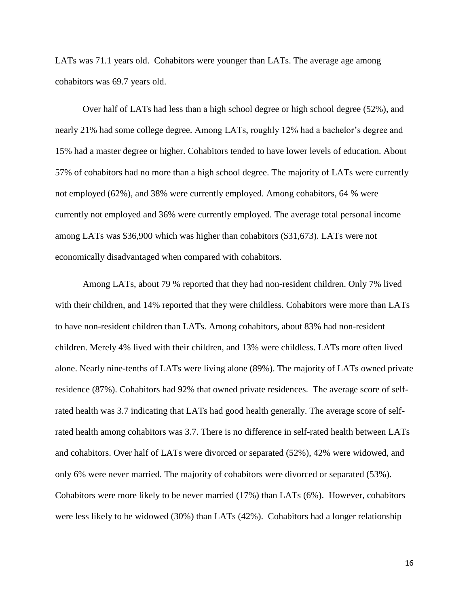LATs was 71.1 years old. Cohabitors were younger than LATs. The average age among cohabitors was 69.7 years old.

Over half of LATs had less than a high school degree or high school degree (52%), and nearly 21% had some college degree. Among LATs, roughly 12% had a bachelor's degree and 15% had a master degree or higher. Cohabitors tended to have lower levels of education. About 57% of cohabitors had no more than a high school degree. The majority of LATs were currently not employed (62%), and 38% were currently employed. Among cohabitors, 64 % were currently not employed and 36% were currently employed. The average total personal income among LATs was \$36,900 which was higher than cohabitors (\$31,673). LATs were not economically disadvantaged when compared with cohabitors.

Among LATs, about 79 % reported that they had non-resident children. Only 7% lived with their children, and 14% reported that they were childless. Cohabitors were more than LATs to have non-resident children than LATs. Among cohabitors, about 83% had non-resident children. Merely 4% lived with their children, and 13% were childless. LATs more often lived alone. Nearly nine-tenths of LATs were living alone (89%). The majority of LATs owned private residence (87%). Cohabitors had 92% that owned private residences. The average score of selfrated health was 3.7 indicating that LATs had good health generally. The average score of selfrated health among cohabitors was 3.7. There is no difference in self-rated health between LATs and cohabitors. Over half of LATs were divorced or separated (52%), 42% were widowed, and only 6% were never married. The majority of cohabitors were divorced or separated (53%). Cohabitors were more likely to be never married (17%) than LATs (6%). However, cohabitors were less likely to be widowed (30%) than LATs (42%). Cohabitors had a longer relationship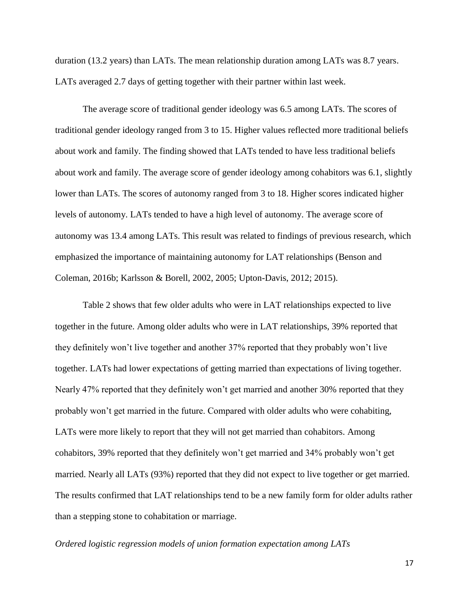duration (13.2 years) than LATs. The mean relationship duration among LATs was 8.7 years. LATs averaged 2.7 days of getting together with their partner within last week.

The average score of traditional gender ideology was 6.5 among LATs. The scores of traditional gender ideology ranged from 3 to 15. Higher values reflected more traditional beliefs about work and family. The finding showed that LATs tended to have less traditional beliefs about work and family. The average score of gender ideology among cohabitors was 6.1, slightly lower than LATs. The scores of autonomy ranged from 3 to 18. Higher scores indicated higher levels of autonomy. LATs tended to have a high level of autonomy. The average score of autonomy was 13.4 among LATs. This result was related to findings of previous research, which emphasized the importance of maintaining autonomy for LAT relationships (Benson and Coleman, 2016b; Karlsson & Borell, 2002, 2005; Upton-Davis, 2012; 2015).

Table 2 shows that few older adults who were in LAT relationships expected to live together in the future. Among older adults who were in LAT relationships, 39% reported that they definitely won't live together and another 37% reported that they probably won't live together. LATs had lower expectations of getting married than expectations of living together. Nearly 47% reported that they definitely won't get married and another 30% reported that they probably won't get married in the future. Compared with older adults who were cohabiting, LATs were more likely to report that they will not get married than cohabitors. Among cohabitors, 39% reported that they definitely won't get married and 34% probably won't get married. Nearly all LATs (93%) reported that they did not expect to live together or get married. The results confirmed that LAT relationships tend to be a new family form for older adults rather than a stepping stone to cohabitation or marriage.

## *Ordered logistic regression models of union formation expectation among LATs*

17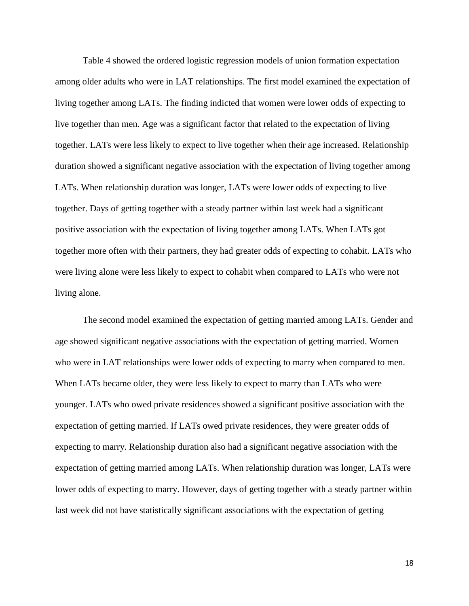Table 4 showed the ordered logistic regression models of union formation expectation among older adults who were in LAT relationships. The first model examined the expectation of living together among LATs. The finding indicted that women were lower odds of expecting to live together than men. Age was a significant factor that related to the expectation of living together. LATs were less likely to expect to live together when their age increased. Relationship duration showed a significant negative association with the expectation of living together among LATs. When relationship duration was longer, LATs were lower odds of expecting to live together. Days of getting together with a steady partner within last week had a significant positive association with the expectation of living together among LATs. When LATs got together more often with their partners, they had greater odds of expecting to cohabit. LATs who were living alone were less likely to expect to cohabit when compared to LATs who were not living alone.

The second model examined the expectation of getting married among LATs. Gender and age showed significant negative associations with the expectation of getting married. Women who were in LAT relationships were lower odds of expecting to marry when compared to men. When LATs became older, they were less likely to expect to marry than LATs who were younger. LATs who owed private residences showed a significant positive association with the expectation of getting married. If LATs owed private residences, they were greater odds of expecting to marry. Relationship duration also had a significant negative association with the expectation of getting married among LATs. When relationship duration was longer, LATs were lower odds of expecting to marry. However, days of getting together with a steady partner within last week did not have statistically significant associations with the expectation of getting

18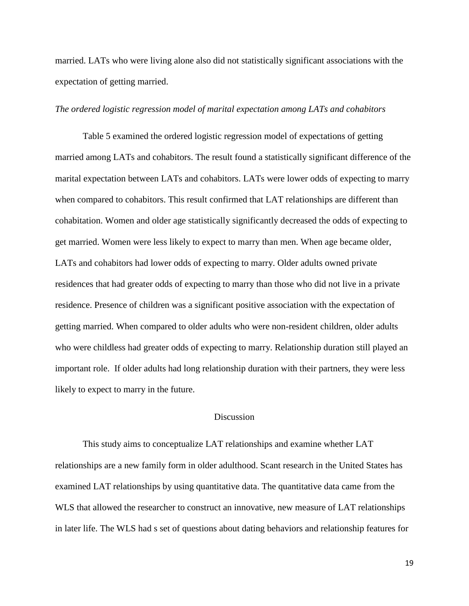married. LATs who were living alone also did not statistically significant associations with the expectation of getting married.

## *The ordered logistic regression model of marital expectation among LATs and cohabitors*

Table 5 examined the ordered logistic regression model of expectations of getting married among LATs and cohabitors. The result found a statistically significant difference of the marital expectation between LATs and cohabitors. LATs were lower odds of expecting to marry when compared to cohabitors. This result confirmed that LAT relationships are different than cohabitation. Women and older age statistically significantly decreased the odds of expecting to get married. Women were less likely to expect to marry than men. When age became older, LATs and cohabitors had lower odds of expecting to marry. Older adults owned private residences that had greater odds of expecting to marry than those who did not live in a private residence. Presence of children was a significant positive association with the expectation of getting married. When compared to older adults who were non-resident children, older adults who were childless had greater odds of expecting to marry. Relationship duration still played an important role. If older adults had long relationship duration with their partners, they were less likely to expect to marry in the future.

## Discussion

This study aims to conceptualize LAT relationships and examine whether LAT relationships are a new family form in older adulthood. Scant research in the United States has examined LAT relationships by using quantitative data. The quantitative data came from the WLS that allowed the researcher to construct an innovative, new measure of LAT relationships in later life. The WLS had s set of questions about dating behaviors and relationship features for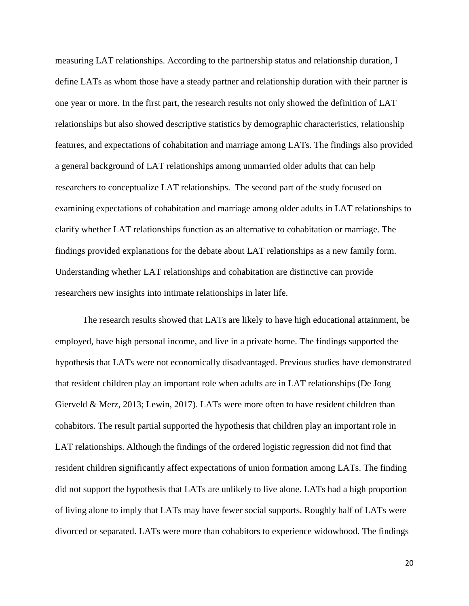measuring LAT relationships. According to the partnership status and relationship duration, I define LATs as whom those have a steady partner and relationship duration with their partner is one year or more. In the first part, the research results not only showed the definition of LAT relationships but also showed descriptive statistics by demographic characteristics, relationship features, and expectations of cohabitation and marriage among LATs. The findings also provided a general background of LAT relationships among unmarried older adults that can help researchers to conceptualize LAT relationships. The second part of the study focused on examining expectations of cohabitation and marriage among older adults in LAT relationships to clarify whether LAT relationships function as an alternative to cohabitation or marriage. The findings provided explanations for the debate about LAT relationships as a new family form. Understanding whether LAT relationships and cohabitation are distinctive can provide researchers new insights into intimate relationships in later life.

The research results showed that LATs are likely to have high educational attainment, be employed, have high personal income, and live in a private home. The findings supported the hypothesis that LATs were not economically disadvantaged. Previous studies have demonstrated that resident children play an important role when adults are in LAT relationships (De Jong Gierveld & Merz, 2013; Lewin, 2017). LATs were more often to have resident children than cohabitors. The result partial supported the hypothesis that children play an important role in LAT relationships. Although the findings of the ordered logistic regression did not find that resident children significantly affect expectations of union formation among LATs. The finding did not support the hypothesis that LATs are unlikely to live alone. LATs had a high proportion of living alone to imply that LATs may have fewer social supports. Roughly half of LATs were divorced or separated. LATs were more than cohabitors to experience widowhood. The findings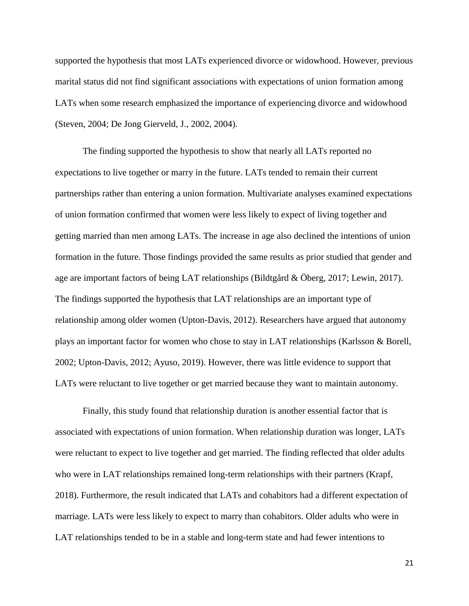supported the hypothesis that most LATs experienced divorce or widowhood. However, previous marital status did not find significant associations with expectations of union formation among LATs when some research emphasized the importance of experiencing divorce and widowhood (Steven, 2004; De Jong Gierveld, J., 2002, 2004).

The finding supported the hypothesis to show that nearly all LATs reported no expectations to live together or marry in the future. LATs tended to remain their current partnerships rather than entering a union formation. Multivariate analyses examined expectations of union formation confirmed that women were less likely to expect of living together and getting married than men among LATs. The increase in age also declined the intentions of union formation in the future. Those findings provided the same results as prior studied that gender and age are important factors of being LAT relationships (Bildtgård & Öberg, 2017; Lewin, 2017). The findings supported the hypothesis that LAT relationships are an important type of relationship among older women (Upton-Davis, 2012). Researchers have argued that autonomy plays an important factor for women who chose to stay in LAT relationships (Karlsson & Borell, 2002; Upton-Davis, 2012; Ayuso, 2019). However, there was little evidence to support that LATs were reluctant to live together or get married because they want to maintain autonomy.

Finally, this study found that relationship duration is another essential factor that is associated with expectations of union formation. When relationship duration was longer, LATs were reluctant to expect to live together and get married. The finding reflected that older adults who were in LAT relationships remained long-term relationships with their partners (Krapf, 2018). Furthermore, the result indicated that LATs and cohabitors had a different expectation of marriage. LATs were less likely to expect to marry than cohabitors. Older adults who were in LAT relationships tended to be in a stable and long-term state and had fewer intentions to

21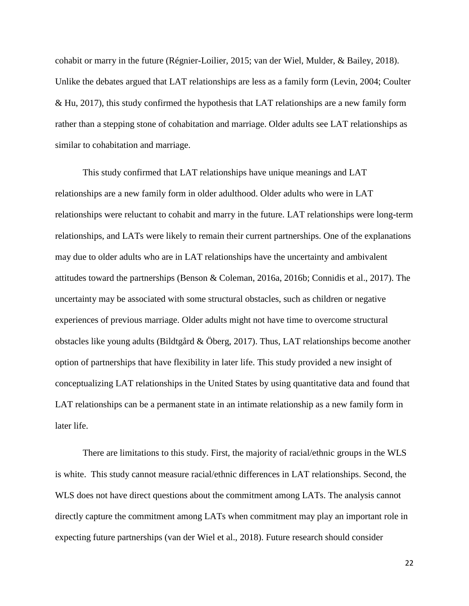cohabit or marry in the future (Régnier-Loilier, 2015; van der Wiel, Mulder, & Bailey, 2018). Unlike the debates argued that LAT relationships are less as a family form (Levin, 2004; Coulter & Hu, 2017), this study confirmed the hypothesis that LAT relationships are a new family form rather than a stepping stone of cohabitation and marriage. Older adults see LAT relationships as similar to cohabitation and marriage.

This study confirmed that LAT relationships have unique meanings and LAT relationships are a new family form in older adulthood. Older adults who were in LAT relationships were reluctant to cohabit and marry in the future. LAT relationships were long-term relationships, and LATs were likely to remain their current partnerships. One of the explanations may due to older adults who are in LAT relationships have the uncertainty and ambivalent attitudes toward the partnerships (Benson & Coleman, 2016a, 2016b; Connidis et al., 2017). The uncertainty may be associated with some structural obstacles, such as children or negative experiences of previous marriage. Older adults might not have time to overcome structural obstacles like young adults (Bildtgård & Öberg, 2017). Thus, LAT relationships become another option of partnerships that have flexibility in later life. This study provided a new insight of conceptualizing LAT relationships in the United States by using quantitative data and found that LAT relationships can be a permanent state in an intimate relationship as a new family form in later life.

There are limitations to this study. First, the majority of racial/ethnic groups in the WLS is white. This study cannot measure racial/ethnic differences in LAT relationships. Second, the WLS does not have direct questions about the commitment among LATs. The analysis cannot directly capture the commitment among LATs when commitment may play an important role in expecting future partnerships (van der Wiel et al., 2018). Future research should consider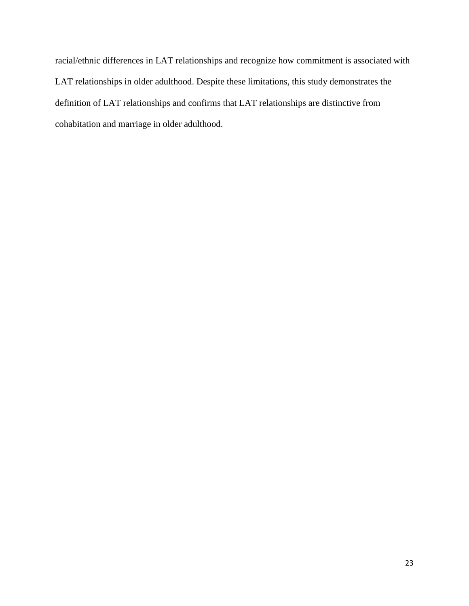racial/ethnic differences in LAT relationships and recognize how commitment is associated with LAT relationships in older adulthood. Despite these limitations, this study demonstrates the definition of LAT relationships and confirms that LAT relationships are distinctive from cohabitation and marriage in older adulthood.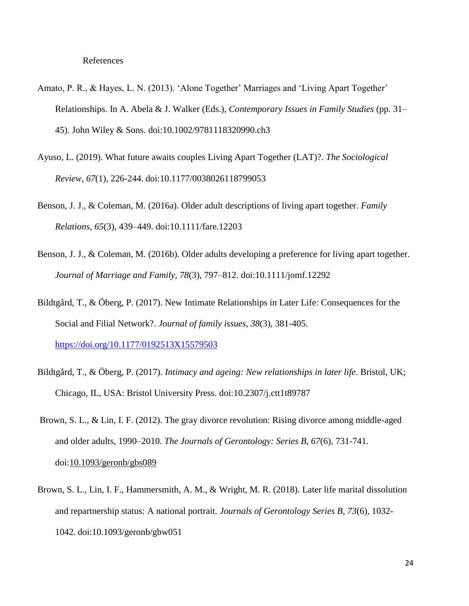- Amato, P. R., & Hayes, L. N. (2013). 'Alone Together' Marriages and 'Living Apart Together' Relationships. In A. Abela & J. Walker (Eds.), *Contemporary Issues in Family Studies* (pp. 31– 45). John Wiley & Sons. doi:10.1002/9781118320990.ch3
- Ayuso, L. (2019). What future awaits couples Living Apart Together (LAT)?. *The Sociological Review*, *67*(1), 226-244. doi:10.1177/0038026118799053
- Benson, J. J., & Coleman, M. (2016a). Older adult descriptions of living apart together. *Family Relations, 65*(3), 439–449. doi:10.1111/fare.12203
- Benson, J. J., & Coleman, M. (2016b). Older adults developing a preference for living apart together. *Journal of Marriage and Family, 78*(3), 797–812. doi:10.1111/jomf.12292
- Bildtgård, T., & Öberg, P. (2017). New Intimate Relationships in Later Life: Consequences for the Social and Filial Network?. *Journal of family issues, 38*(3), 381-405. <https://doi.org/10.1177/0192513X15579503>
- Bildtgård, T., & Öberg, P. (2017). *Intimacy and ageing: New relationships in later life*. Bristol, UK; Chicago, IL, USA: Bristol University Press. doi:10.2307/j.ctt1t89787
- Brown, S. L., & Lin, I. F. (2012). The gray divorce revolution: Rising divorce among middle-aged and older adults, 1990–2010. *The Journals of Gerontology: Series B*, *67*(6), 731-741. doi[:10.1093/geronb/gbs089](https://doi.org/10.1093/geronb/gbs089)
- Brown, S. L., Lin, I. F., Hammersmith, A. M., & Wright, M. R. (2018). Later life marital dissolution and repartnership status: A national portrait. *Journals of Gerontology Series B, 73*(6), 1032- 1042. doi:10.1093/geronb/gbw051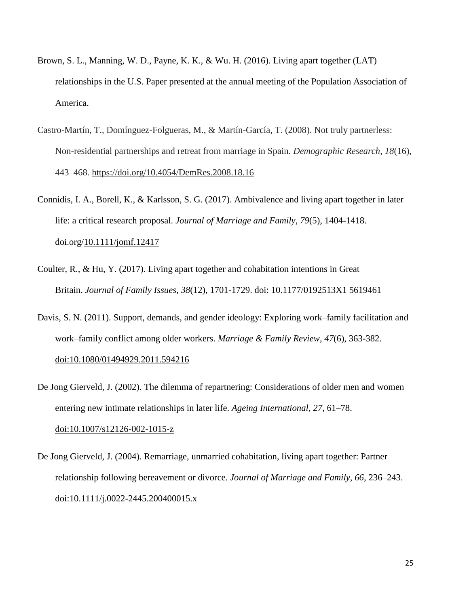- Brown, S. L., Manning, W. D., Payne, K. K., & Wu. H. (2016). Living apart together (LAT) relationships in the U.S. Paper presented at the annual meeting of the Population Association of America.
- Castro-Martín, T., Domínguez-Folgueras, M., & Martín-García, T. (2008). Not truly partnerless: Non-residential partnerships and retreat from marriage in Spain. *Demographic Research*, *18*(16), 443–468. <https://doi.org/10.4054/DemRes.2008.18.16>
- Connidis, I. A., Borell, K., & Karlsson, S. G. (2017). Ambivalence and living apart together in later life: a critical research proposal. *Journal of Marriage and Family*, *79*(5), 1404-1418. doi.org[/10.1111/jomf.12417](https://doi.org/10.1111/jomf.12417)
- Coulter, R., & Hu, Y. (2017). Living apart together and cohabitation intentions in Great Britain. *Journal of Family Issues*, *38*(12), 1701-1729. doi: 10.1177/0192513X1 5619461
- Davis, S. N. (2011). Support, demands, and gender ideology: Exploring work–family facilitation and work–family conflict among older workers. *Marriage & Family Review*, *47*(6), 363-382. [doi:10.1080/01494929.2011.594216](https://doi.org/10.1080/01494929.2011.594216)
- De Jong Gierveld, J. (2002). The dilemma of repartnering: Considerations of older men and women entering new intimate relationships in later life. *Ageing International, 27*, 61–78. [doi:10.1007/s12126-002-1015-z](https://doi.org/10.1007/s12126-002-1015-z)
- De Jong Gierveld, J. (2004). Remarriage, unmarried cohabitation, living apart together: Partner relationship following bereavement or divorce. *Journal of Marriage and Family, 66*, 236–243. doi:10.1111/j.0022-2445.200400015.x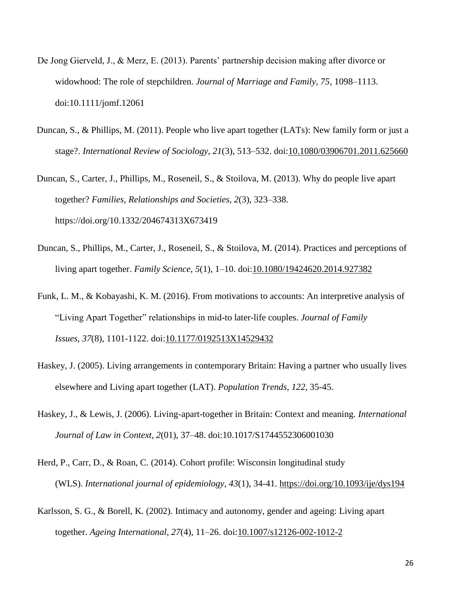- De Jong Gierveld, J., & Merz, E. (2013). Parents' partnership decision making after divorce or widowhood: The role of stepchildren. *Journal of Marriage and Family, 75*, 1098–1113. doi:10.1111/jomf.12061
- Duncan, S., & Phillips, M. (2011). People who live apart together (LATs): New family form or just a stage?. *International Review of Sociology*, *21*(3), 513–532. doi[:10.1080/03906701.2011.625660](https://doi.org/10.1080/03906701.2011.625660)
- Duncan, S., Carter, J., Phillips, M., Roseneil, S., & Stoilova, M. (2013). Why do people live apart together? *Families, Relationships and Societies*, *2*(3), 323–338. https://doi.org/10.1332/204674313X673419
- Duncan, S., Phillips, M., Carter, J., Roseneil, S., & Stoilova, M. (2014). Practices and perceptions of living apart together. *Family Science*, *5*(1), 1–10. doi[:10.1080/19424620.2014.927382](https://doi.org/10.1080/19424620.2014.927382)
- Funk, L. M., & Kobayashi, K. M. (2016). From motivations to accounts: An interpretive analysis of "Living Apart Together" relationships in mid-to later-life couples. *Journal of Family Issues*, *37*(8), 1101-1122. doi[:10.1177/0192513X14529432](https://doi.org/10.1177/0192513X14529432)
- Haskey, J. (2005). Living arrangements in contemporary Britain: Having a partner who usually lives elsewhere and Living apart together (LAT). *Population Trends*, *122*, 35-45.
- Haskey, J., & Lewis, J. (2006). Living-apart-together in Britain: Context and meaning. *International Journal of Law in Context*, *2*(01), 37–48. doi:10.1017/S1744552306001030
- Herd, P., Carr, D., & Roan, C. (2014). Cohort profile: Wisconsin longitudinal study (WLS). *International journal of epidemiology*, *43*(1), 34-41.<https://doi.org/10.1093/ije/dys194>
- Karlsson, S. G., & Borell, K. (2002). Intimacy and autonomy, gender and ageing: Living apart together. *Ageing International*, *27*(4), 11–26. doi[:10.1007/s12126-002-1012-2](https://doi.org/10.1007/s12126-002-1012-2)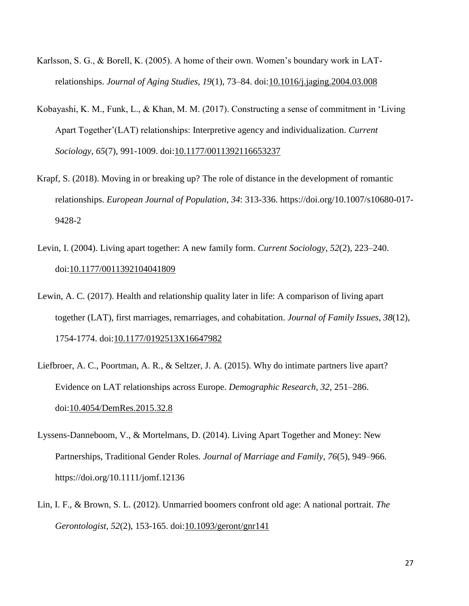- Karlsson, S. G., & Borell, K. (2005). A home of their own. Women's boundary work in LATrelationships. *Journal of Aging Studies*, *19*(1), 73–84. doi[:10.1016/j.jaging.2004.03.008](https://doi.org/10.1016/j.jaging.2004.03.008)
- Kobayashi, K. M., Funk, L., & Khan, M. M. (2017). Constructing a sense of commitment in 'Living Apart Together'(LAT) relationships: Interpretive agency and individualization. *Current Sociology*, *65*(7), 991-1009. doi[:10.1177/0011392116653237](https://doi.org/10.1177/0011392116653237)
- Krapf, S. (2018). Moving in or breaking up? The role of distance in the development of romantic relationships. *European Journal of Population*, *34*: 313-336. https://doi.org/10.1007/s10680-017- 9428-2
- Levin, I. (2004). Living apart together: A new family form. *Current Sociology*, *52*(2), 223–240. doi[:10.1177/0011392104041809](https://doi.org/10.1177/0011392104041809)
- Lewin, A. C. (2017). Health and relationship quality later in life: A comparison of living apart together (LAT), first marriages, remarriages, and cohabitation. *Journal of Family Issues*, *38*(12), 1754-1774. doi[:10.1177/0192513X16647982](https://doi.org/10.1177/0192513X16647982)
- Liefbroer, A. C., Poortman, A. R., & Seltzer, J. A. (2015). Why do intimate partners live apart? Evidence on LAT relationships across Europe. *Demographic Research*, *32*, 251–286. doi[:10.4054/DemRes.2015.32.8](https://doi.org/10.4054/DemRes.2015.32.8)
- Lyssens-Danneboom, V., & Mortelmans, D. (2014). Living Apart Together and Money: New Partnerships, Traditional Gender Roles*. Journal of Marriage and Family*, *76*(5), 949–966. https://doi.org/10.1111/jomf.12136
- Lin, I. F., & Brown, S. L. (2012). Unmarried boomers confront old age: A national portrait. *The Gerontologist*, *52*(2), 153-165. doi[:10.1093/geront/gnr141](https://doi.org/10.1093/geront/gnr141)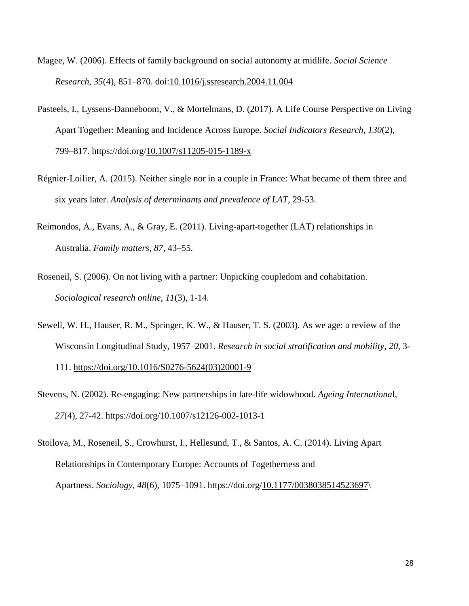- Magee, W. (2006). Effects of family background on social autonomy at midlife. *Social Science Research*, *35*(4), 851–870. doi[:10.1016/j.ssresearch.2004.11.004](https://doi.org/10.1016/j.ssresearch.2004.11.004)
- Pasteels, I., Lyssens-Danneboom, V., & Mortelmans, D. (2017). A Life Course Perspective on Living Apart Together: Meaning and Incidence Across Europe. *Social Indicators Research*, *130*(2), 799–817. https://doi.org[/10.1007/s11205-015-1189-x](https://doi.org/10.1007/s11205-015-1189-x)
- Régnier-Loilier, A. (2015). Neither single nor in a couple in France: What became of them three and six years later. *Analysis of determinants and prevalence of LAT*, 29-53.
- Reimondos, A., Evans, A., & Gray, E. (2011). Living-apart-together (LAT) relationships in Australia. *Family matters*, *87*, 43–55.
- Roseneil, S. (2006). On not living with a partner: Unpicking coupledom and cohabitation. *Sociological research online, 11*(3), 1-14.
- Sewell, W. H., Hauser, R. M., Springer, K. W., & Hauser, T. S. (2003). As we age: a review of the Wisconsin Longitudinal Study, 1957–2001. *Research in social stratification and mobility*, *20*, 3- 111. [https://doi.org/10.1016/S0276-5624\(03\)20001-9](https://doi.org/10.1016/S0276-5624(03)20001-9)
- Stevens, N. (2002). Re-engaging: New partnerships in late-life widowhood. *Ageing Internationa*l, *27*(4), 27-42. https://doi.org/10.1007/s12126-002-1013-1
- Stoilova, M., Roseneil, S., Crowhurst, I., Hellesund, T., & Santos, A. C. (2014). Living Apart Relationships in Contemporary Europe: Accounts of Togetherness and Apartness. *Sociology*, *48*(6), 1075–1091. https://doi.org[/10.1177/0038038514523697\](https://doi.org/10.1177/0038038514523697)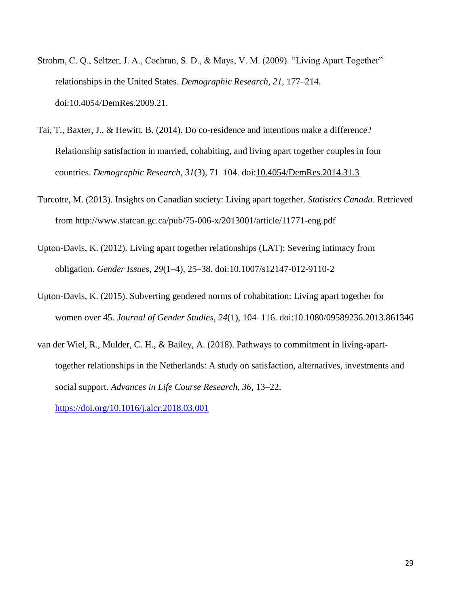- Strohm, C. Q., Seltzer, J. A., Cochran, S. D., & Mays, V. M. (2009). "Living Apart Together" relationships in the United States. *Demographic Research*, *21*, 177–214. doi:10.4054/DemRes.2009.21.
- Tai, T., Baxter, J., & Hewitt, B. (2014). Do co-residence and intentions make a difference? Relationship satisfaction in married, cohabiting, and living apart together couples in four countries. *Demographic Research*, *31*(3), 71–104. doi[:10.4054/DemRes.2014.31.3](https://doi.org/10.4054/DemRes.2014.31.3)
- Turcotte, M. (2013). Insights on Canadian society: Living apart together. *Statistics Canada*. Retrieved from http://www.statcan.gc.ca/pub/75-006-x/2013001/article/11771-eng.pdf
- Upton-Davis, K. (2012). Living apart together relationships (LAT): Severing intimacy from obligation. *Gender Issues, 29*(1–4), 25–38. doi:10.1007/s12147-012-9110-2
- Upton-Davis, K. (2015). Subverting gendered norms of cohabitation: Living apart together for women over 45*. Journal of Gender Studies*, *24*(1), 104–116. doi:10.1080/09589236.2013.861346
- van der Wiel, R., Mulder, C. H., & Bailey, A. (2018). Pathways to commitment in living-aparttogether relationships in the Netherlands: A study on satisfaction, alternatives, investments and social support. *Advances in Life Course Research*, *36*, 13–22. <https://doi.org/10.1016/j.alcr.2018.03.001>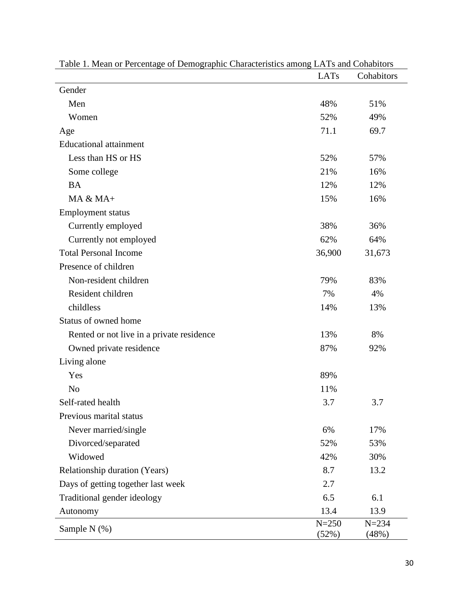| Table 1. Mean of Felechtage of Demographic Characteristics among LATS and Conautors | LAT <sub>s</sub>   | Cohabitors         |
|-------------------------------------------------------------------------------------|--------------------|--------------------|
| Gender                                                                              |                    |                    |
| Men                                                                                 | 48%                | 51%                |
| Women                                                                               | 52%                | 49%                |
| Age                                                                                 | 71.1               | 69.7               |
| <b>Educational attainment</b>                                                       |                    |                    |
| Less than HS or HS                                                                  | 52%                | 57%                |
| Some college                                                                        | 21%                | 16%                |
| <b>BA</b>                                                                           | 12%                | 12%                |
| MA & MA+                                                                            | 15%                | 16%                |
| <b>Employment status</b>                                                            |                    |                    |
| Currently employed                                                                  | 38%                | 36%                |
| Currently not employed                                                              | 62%                | 64%                |
| <b>Total Personal Income</b>                                                        | 36,900             | 31,673             |
| Presence of children                                                                |                    |                    |
| Non-resident children                                                               | 79%                | 83%                |
| Resident children                                                                   | 7%                 | 4%                 |
| childless                                                                           | 14%                | 13%                |
| Status of owned home                                                                |                    |                    |
| Rented or not live in a private residence                                           | 13%                | 8%                 |
| Owned private residence                                                             | 87%                | 92%                |
| Living alone                                                                        |                    |                    |
| Yes                                                                                 | 89%                |                    |
| N <sub>o</sub>                                                                      | 11%                |                    |
| Self-rated health                                                                   | 3.7                | 3.7                |
| Previous marital status                                                             |                    |                    |
| Never married/single                                                                | 6%                 | 17%                |
| Divorced/separated                                                                  | 52%                | 53%                |
| Widowed                                                                             | 42%                | 30%                |
| Relationship duration (Years)                                                       | 8.7                | 13.2               |
| Days of getting together last week                                                  | 2.7                |                    |
| Traditional gender ideology                                                         | 6.5                | 6.1                |
| Autonomy                                                                            | 13.4               | 13.9               |
| Sample N (%)                                                                        | $N = 250$<br>(52%) | $N = 234$<br>(48%) |

Table 1. Mean or Percentage of Demographic Characteristics among LATs and Cohabitors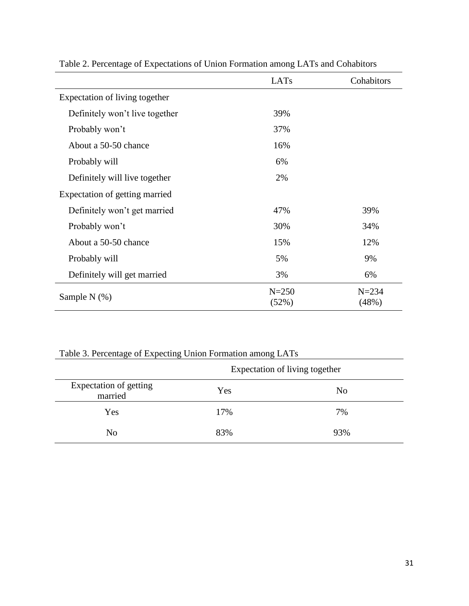|                                | LATs               | Cohabitors         |  |
|--------------------------------|--------------------|--------------------|--|
| Expectation of living together |                    |                    |  |
| Definitely won't live together | 39%                |                    |  |
| Probably won't                 | 37%                |                    |  |
| About a 50-50 chance           | 16%                |                    |  |
| Probably will                  | 6%                 |                    |  |
| Definitely will live together  | 2%                 |                    |  |
| Expectation of getting married |                    |                    |  |
| Definitely won't get married   | 47%                | 39%                |  |
| Probably won't                 | 30%                | 34%                |  |
| About a 50-50 chance           | 15%                | 12%                |  |
| Probably will                  | 5%                 | 9%                 |  |
| Definitely will get married    | 3%                 | 6%                 |  |
| Sample N $(\%)$                | $N = 250$<br>(52%) | $N = 234$<br>(48%) |  |

Table 2. Percentage of Expectations of Union Formation among LATs and Cohabitors

| Table 3. Percentage of Expecting Union Formation among LATs |  |  |  |
|-------------------------------------------------------------|--|--|--|
|                                                             |  |  |  |

|                                   | Expectation of living together |     |  |  |
|-----------------------------------|--------------------------------|-----|--|--|
| Expectation of getting<br>married | Yes                            | No  |  |  |
| Yes                               | 17%                            | 7%  |  |  |
| No                                | 83%                            | 93% |  |  |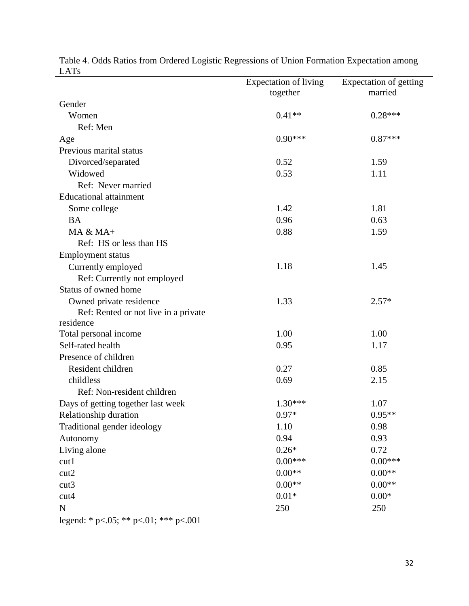| LAIS                                 | <b>Expectation of living</b> | Expectation of getting |
|--------------------------------------|------------------------------|------------------------|
|                                      | together                     | married                |
| Gender                               |                              |                        |
| Women                                | $0.41**$                     | $0.28***$              |
| Ref: Men                             |                              |                        |
| Age                                  | $0.90***$                    | $0.87***$              |
| Previous marital status              |                              |                        |
| Divorced/separated                   | 0.52                         | 1.59                   |
| Widowed                              | 0.53                         | 1.11                   |
| Ref: Never married                   |                              |                        |
| <b>Educational attainment</b>        |                              |                        |
| Some college                         | 1.42                         | 1.81                   |
| <b>BA</b>                            | 0.96                         | 0.63                   |
| $MA & MA+$                           | 0.88                         | 1.59                   |
| Ref: HS or less than HS              |                              |                        |
| <b>Employment status</b>             |                              |                        |
| Currently employed                   | 1.18                         | 1.45                   |
| Ref: Currently not employed          |                              |                        |
| Status of owned home                 |                              |                        |
| Owned private residence              | 1.33                         | $2.57*$                |
| Ref: Rented or not live in a private |                              |                        |
| residence                            |                              |                        |
| Total personal income                | 1.00                         | 1.00                   |
| Self-rated health                    | 0.95                         | 1.17                   |
| Presence of children                 |                              |                        |
| Resident children                    | 0.27                         | 0.85                   |
| childless                            | 0.69                         | 2.15                   |
| Ref: Non-resident children           |                              |                        |
| Days of getting together last week   | $1.30***$                    | 1.07                   |
| Relationship duration                | $0.97*$                      | $0.95**$               |
| Traditional gender ideology          | 1.10                         | 0.98                   |
| Autonomy                             | 0.94                         | 0.93                   |
| Living alone                         | $0.26*$                      | 0.72                   |
| cut1                                 | $0.00***$                    | $0.00***$              |
| cut2                                 | $0.00**$                     | $0.00**$               |
| cut3                                 | $0.00**$                     | $0.00**$               |
| cut4                                 | $0.01*$                      | $0.00*$                |
| $\mathbf N$                          | 250                          | 250                    |

Table 4. Odds Ratios from Ordered Logistic Regressions of Union Formation Expectation among LATs

legend: \* p<.05; \*\* p<.01; \*\*\* p<.001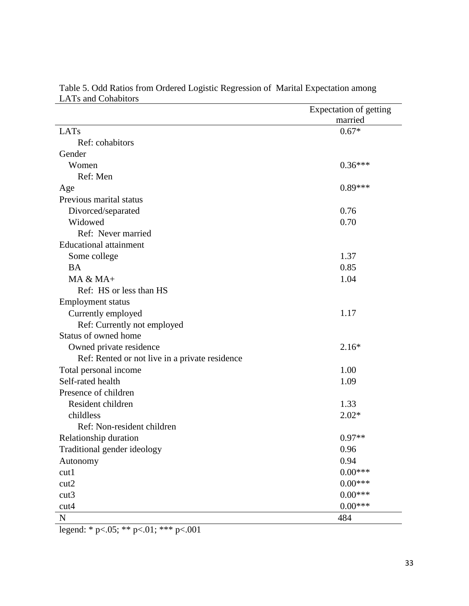|                                                | Expectation of getting |
|------------------------------------------------|------------------------|
|                                                | married                |
| LATs                                           | $0.67*$                |
| Ref: cohabitors                                |                        |
| Gender                                         |                        |
| Women                                          | $0.36***$              |
| Ref: Men                                       |                        |
| Age                                            | $0.89***$              |
| Previous marital status                        |                        |
| Divorced/separated                             | 0.76                   |
| Widowed                                        | 0.70                   |
| Ref: Never married                             |                        |
| <b>Educational attainment</b>                  |                        |
| Some college                                   | 1.37                   |
| <b>BA</b>                                      | 0.85                   |
| $MA & MA+$                                     | 1.04                   |
| Ref: HS or less than HS                        |                        |
| <b>Employment status</b>                       |                        |
| Currently employed                             | 1.17                   |
| Ref: Currently not employed                    |                        |
| Status of owned home                           |                        |
| Owned private residence                        | $2.16*$                |
| Ref: Rented or not live in a private residence |                        |
| Total personal income                          | 1.00                   |
| Self-rated health                              | 1.09                   |
| Presence of children                           |                        |
| Resident children                              | 1.33                   |
| childless                                      | $2.02*$                |
| Ref: Non-resident children                     |                        |
| Relationship duration                          | $0.97**$               |
| Traditional gender ideology                    | 0.96                   |
| Autonomy                                       | 0.94                   |
| cut1                                           | $0.00***$              |
| cut2                                           | $0.00***$              |
| cut3                                           | $0.00***$              |
| cut4                                           | $0.00***$              |
| ${\bf N}$                                      | 484                    |

Table 5. Odd Ratios from Ordered Logistic Regression of Marital Expectation among LATs and Cohabitors

legend: \* p<.05; \*\* p<.01; \*\*\* p<.001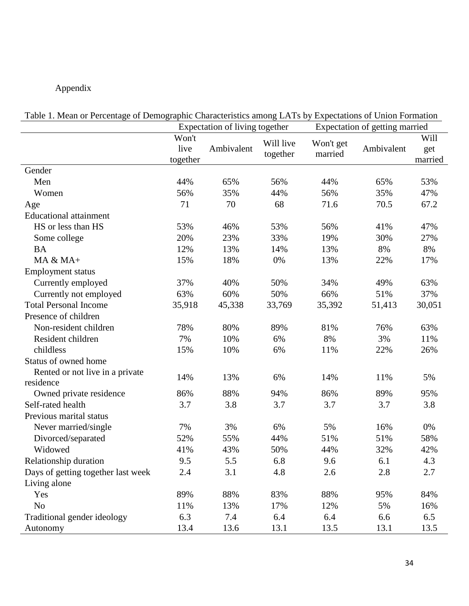# Appendix

|                                    | Expectation of living together |            | Expectation of getting married |           |            |         |
|------------------------------------|--------------------------------|------------|--------------------------------|-----------|------------|---------|
|                                    | Won't                          |            | Will live                      | Won't get |            | Will    |
|                                    | live                           | Ambivalent | together                       | married   | Ambivalent | get     |
|                                    | together                       |            |                                |           |            | married |
| Gender                             |                                |            |                                |           |            |         |
| Men                                | 44%                            | 65%        | 56%                            | 44%       | 65%        | 53%     |
| Women                              | 56%                            | 35%        | 44%                            | 56%       | 35%        | 47%     |
| Age                                | 71                             | 70         | 68                             | 71.6      | 70.5       | 67.2    |
| <b>Educational attainment</b>      |                                |            |                                |           |            |         |
| HS or less than HS                 | 53%                            | 46%        | 53%                            | 56%       | 41%        | 47%     |
| Some college                       | 20%                            | 23%        | 33%                            | 19%       | 30%        | 27%     |
| <b>BA</b>                          | 12%                            | 13%        | 14%                            | 13%       | 8%         | 8%      |
| $MA & MA+$                         | 15%                            | 18%        | 0%                             | 13%       | 22%        | 17%     |
| <b>Employment status</b>           |                                |            |                                |           |            |         |
| Currently employed                 | 37%                            | 40%        | 50%                            | 34%       | 49%        | 63%     |
| Currently not employed             | 63%                            | 60%        | 50%                            | 66%       | 51%        | 37%     |
| <b>Total Personal Income</b>       | 35,918                         | 45,338     | 33,769                         | 35,392    | 51,413     | 30,051  |
| Presence of children               |                                |            |                                |           |            |         |
| Non-resident children              | 78%                            | 80%        | 89%                            | 81%       | 76%        | 63%     |
| Resident children                  | 7%                             | 10%        | 6%                             | 8%        | 3%         | 11%     |
| childless                          | 15%                            | 10%        | 6%                             | 11%       | 22%        | 26%     |
| Status of owned home               |                                |            |                                |           |            |         |
| Rented or not live in a private    | 14%                            | 13%        | 6%                             | 14%       | 11%        | 5%      |
| residence                          |                                |            |                                |           |            |         |
| Owned private residence            | 86%                            | 88%        | 94%                            | 86%       | 89%        | 95%     |
| Self-rated health                  | 3.7                            | 3.8        | 3.7                            | 3.7       | 3.7        | 3.8     |
| Previous marital status            |                                |            |                                |           |            |         |
| Never married/single               | 7%                             | 3%         | 6%                             | 5%        | 16%        | 0%      |
| Divorced/separated                 | 52%                            | 55%        | 44%                            | 51%       | 51%        | 58%     |
| Widowed                            | 41%                            | 43%        | 50%                            | 44%       | 32%        | 42%     |
| Relationship duration              | 9.5                            | 5.5        | 6.8                            | 9.6       | 6.1        | 4.3     |
| Days of getting together last week | 2.4                            | 3.1        | 4.8                            | 2.6       | 2.8        | 2.7     |
| Living alone                       |                                |            |                                |           |            |         |
| Yes                                | 89%                            | 88%        | 83%                            | 88%       | 95%        | 84%     |
| N <sub>o</sub>                     | 11%                            | 13%        | 17%                            | 12%       | 5%         | 16%     |
| Traditional gender ideology        | 6.3                            | 7.4        | 6.4                            | 6.4       | 6.6        | 6.5     |
| Autonomy                           | 13.4                           | 13.6       | 13.1                           | 13.5      | 13.1       | 13.5    |

Table 1. Mean or Percentage of Demographic Characteristics among LATs by Expectations of Union Formation